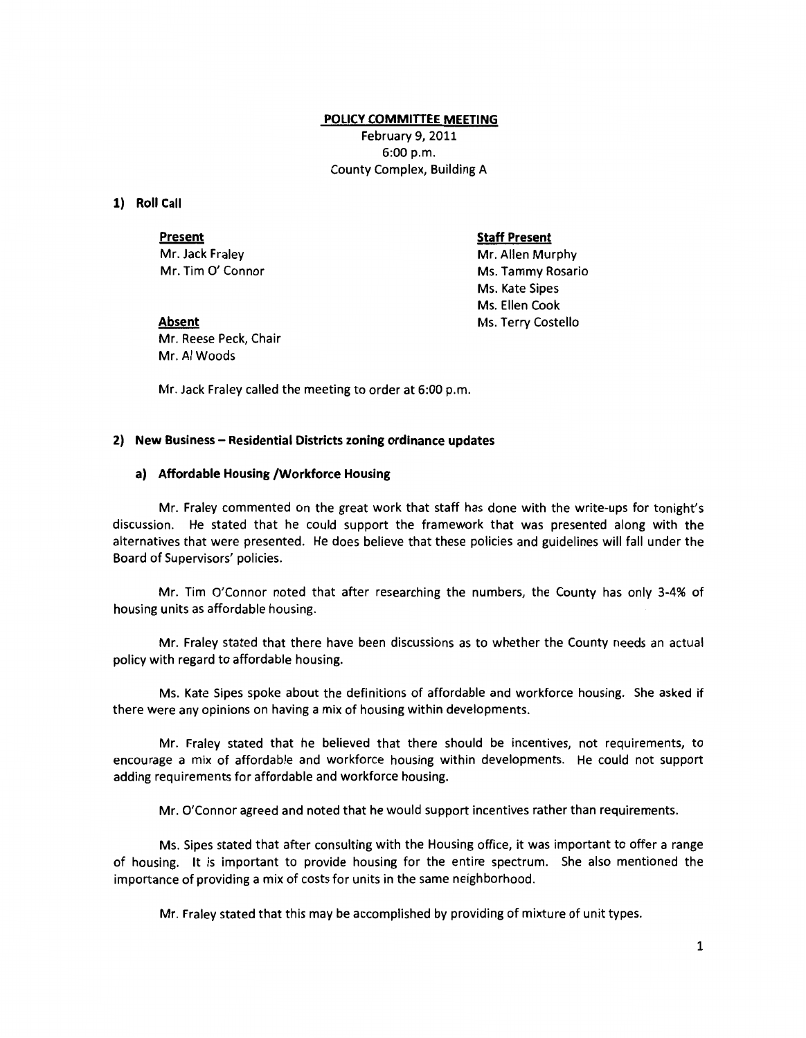### **POLICY COMMITTEE MEETING**

February 9, 2011 6:00 p.m. County Complex, Building A

## **1) Roll Call**

**Present** 

Mr. Jack Fraley Mr. Tim 0' Connor **Staff Present** 

Mr. Allen Murphy Ms. Tammy Rosario Ms. Kate Sipes Ms. Ellen Cook Ms. Terry Costello

**Absent**  Mr. Reese Peck, Chair Mr. AI Woods

Mr. Jack Fraley called the meeting to order at 6:00 p.m.

### **2) New Business- Residential Districts zoning ordinance updates**

### **a) Affordable Housing /Workforce Housing**

Mr. Fraley commented on the great work that staff has done with the write-ups for tonight's discussion. He stated that he could support the framework that was presented along with the alternatives that were presented. He does believe that these policies and guidelines will fall under the Board of Supervisors' policies.

Mr. Tim O'Connor noted that after researching the numbers, the County has only 3-4% of housing units as affordable housing.

Mr. Fraley stated that there have been discussions as to whether the County needs an actual policy with regard to affordable housing.

Ms. Kate Sipes spoke about the definitions of affordable and workforce housing. She asked if there were any opinions on having a mix of housing within developments.

Mr. Fraley stated that he believed that there should be incentives, not requirements, to encourage a mix of affordable and workforce housing within developments. He could not support adding requirements for affordable and workforce housing.

Mr. O'Connor agreed and noted that he would support incentives rather than requirements.

Ms. Sipes stated that after consulting with the Housing office, it was important to offer a range of housing. It is important to provide housing for the entire spectrum. She also mentioned the importance of providing a mix of costs for units in the same neighborhood.

Mr. Fraley stated that this may be accomplished by providing of mixture of unit types.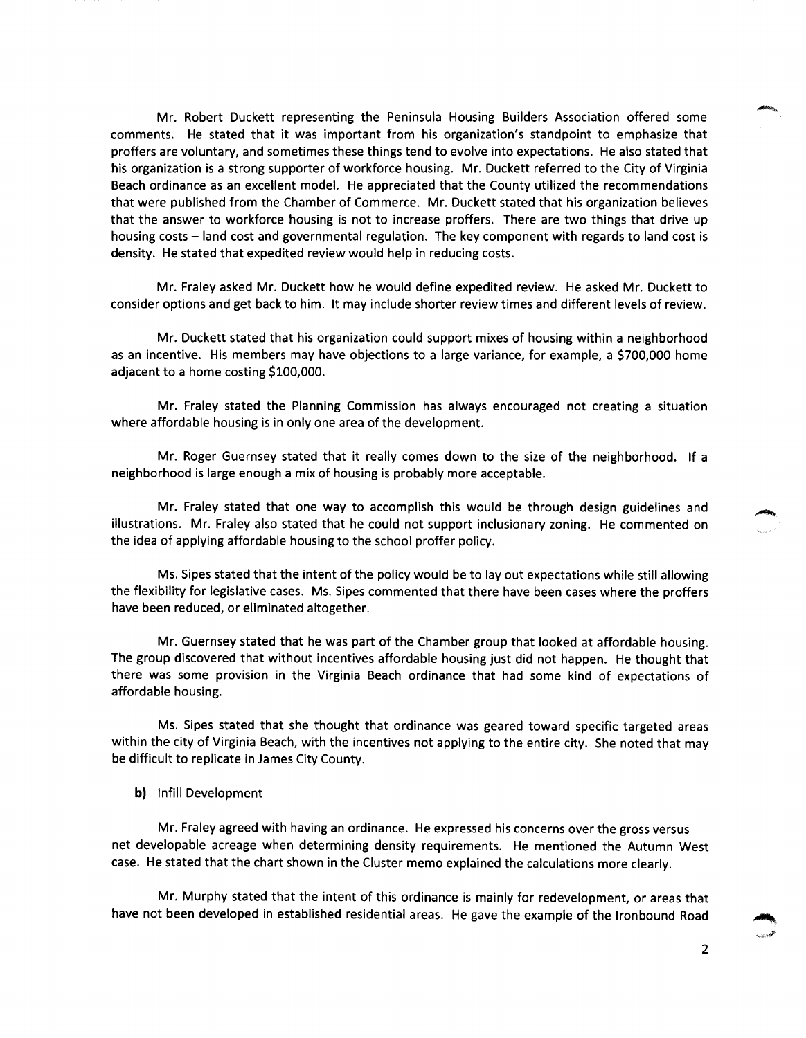Mr. Robert Duckett representing the Peninsula Housing Builders Association offered some comments. He stated that it was important from his organization's standpoint to emphasize that proffers are voluntary, and sometimes these things tend to evolve into expectations. He also stated that his organization is a strong supporter of workforce housing. Mr. Duckett referred to the City of Virginia Beach ordinance as an excellent model. He appreciated that the County utilized the recommendations that were published from the Chamber of Commerce. Mr. Duckett stated that his organization believes that the answer to workforce housing is not to increase proffers. There are two things that drive up housing costs - land cost and governmental regulation. The key component with regards to land cost is density. He stated that expedited review would help in reducing costs.

Mr. Fraley asked Mr. Duckett how he would define expedited review. He asked Mr. Duckett to consider options and get back to him. It may include shorter review times and different levels of review.

Mr. Duckett stated that his organization could support mixes of housing within a neighborhood as an incentive. His members may have objections to a large variance, for example, a \$700,000 home adjacent to a home costing \$100,000.

Mr. Fraley stated the Planning Commission has always encouraged not creating a situation where affordable housing is in only one area of the development.

Mr. Roger Guernsey stated that it really comes down to the size of the neighborhood. If a neighborhood is large enough a mix of housing is probably more acceptable.

Mr. Fraley stated that one way to accomplish this would be through design guidelines and illustrations. Mr. Fraley also stated that he could not support inclusionary zoning. He commented on the idea of applying affordable housing to the school proffer policy.

Ms. Sipes stated that the intent of the policy would be to lay out expectations while still allowing the flexibility for legislative cases. Ms. Sipes commented that there have been cases where the proffers have been reduced, or eliminated altogether.

Mr. Guernsey stated that he was part of the Chamber group that looked at affordable housing. The group discovered that without incentives affordable housing just did not happen. He thought that there was some provision in the Virginia Beach ordinance that had some kind of expectations of affordable housing.

Ms. Sipes stated that she thought that ordinance was geared toward specific targeted areas within the city of Virginia Beach, with the incentives not applying to the entire city. She noted that may be difficult to replicate in James City County.

b) lnfill Development

Mr. Fraley agreed with having an ordinance. He expressed his concerns over the gross versus net developable acreage when determining density requirements. He mentioned the Autumn West case. He stated that the chart shown in the Cluster memo explained the calculations more clearly.

Mr. Murphy stated that the intent of this ordinance is mainly for redevelopment, or areas that have not been developed in established residential areas. He gave the example of the Ironbound Road

2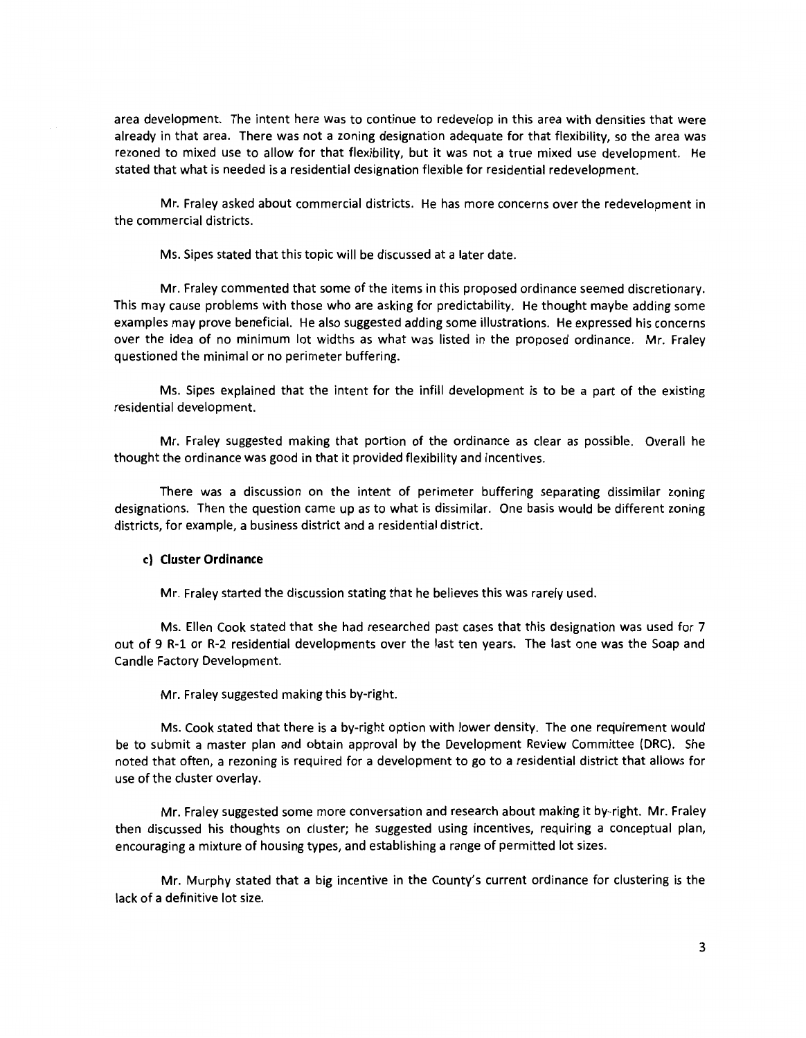area development. The intent here was to continue to redevelop in this area with densities that were already in that area. There was not a zoning designation adequate for that flexibility, so the area was rezoned to mixed use to allow for that flexibility, but it was not a true mixed use development. He stated that what is needed is a residential designation flexible for residential redevelopment.

Mr. Fraley asked about commercial districts. He has more concerns over the redevelopment in the commercial districts.

Ms. Sipes stated that this topic will be discussed at a later date.

Mr. Fraley commented that some of the items in this proposed ordinance seemed discretionary. This may cause problems with those who are asking for predictability. He thought maybe adding some examples may prove beneficial. He also suggested adding some illustrations. He expressed his concerns over the idea of no minimum lot widths as what was listed in the proposed ordinance. Mr. Fraley questioned the minimal or no perimeter buffering.

Ms. Sipes explained that the intent for the infill development is to be a part of the existing residential development.

Mr. Fraley suggested making that portion of the ordinance as clear as possible. Overall he thought the ordinance was good in that it provided flexibility and incentives.

There was a discussion on the intent of perimeter buffering separating dissimilar zoning designations. Then the question came up as to what is dissimilar. One basis would be different zoning districts, for example, a business district and a residential district.

#### **c) Cluster Ordinance**

Mr. Fraley started the discussion stating that he believes this was rarely used.

Ms. Ellen Cook stated that she had researched past cases that this designation was used for 7 out of 9 R-1 or R-2 residential developments over the last ten years. The last one was the Soap and Candle Factory Development.

Mr. Fraley suggested making this by-right.

Ms. Cook stated that there is a by-right option with lower density. The one requirement would be to submit a master plan and obtain approval by the Development Review Committee (DRC). She noted that often, a rezoning is required for a development to go to a residential district that allows for use of the cluster overlay.

Mr. Fraley suggested some more conversation and research about making it by-right. Mr. Fraley then discussed his thoughts on cluster; he suggested using incentives, requiring a conceptual plan, encouraging a mixture of housing types, and establishing a range of permitted lot sizes.

Mr. Murphy stated that a big incentive in the County's current ordinance for clustering is the lack of a definitive lot size.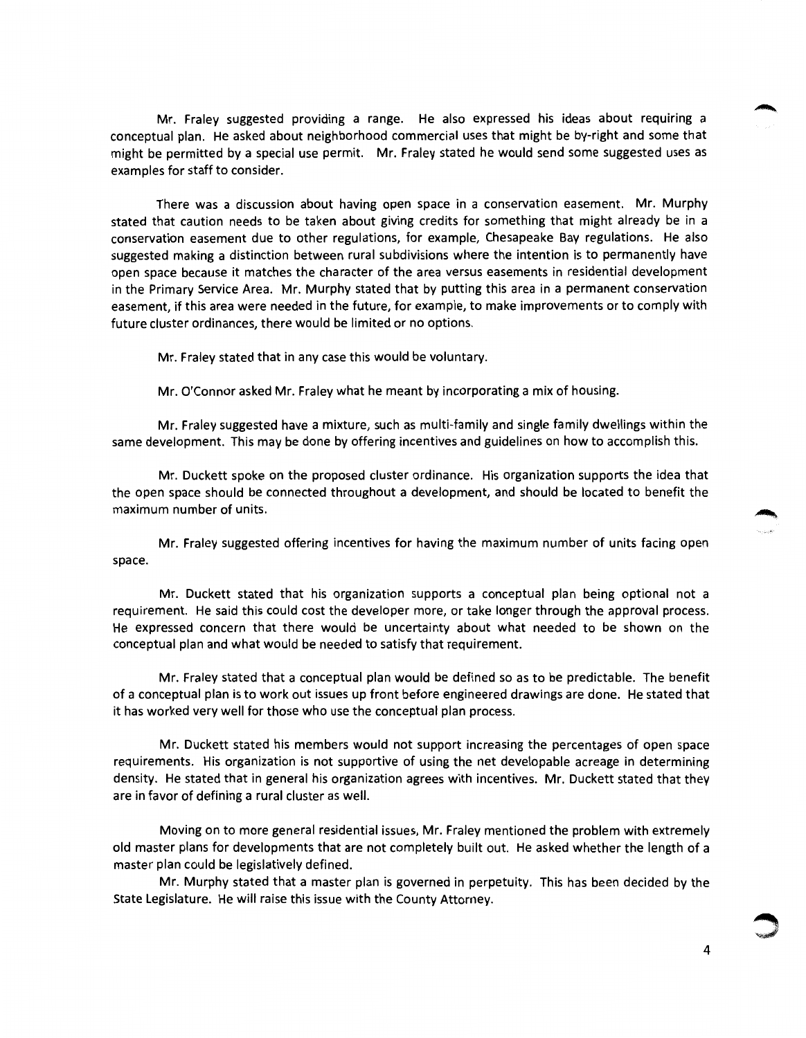Mr. Fraley suggested providing a range. He also expressed his ideas about requiring a conceptual plan. He asked about neighborhood commercial uses that might be by-right and some that might be permitted by a special use permit. Mr. Fraley stated he would send some suggested uses as examples for staff to consider.

There was a discussion about having open space in a conservation easement. Mr. Murphy stated that caution needs to be taken about giving credits for something that might already be in a conservation easement due to other regulations, for example, Chesapeake Bay regulations. He also suggested making a distinction between rural subdivisions where the intention is to permanently have open space because it matches the character of the area versus easements in residential development in the Primary Service Area. Mr. Murphy stated that by putting this area in a permanent conservation easement, if this area were needed in the future, for example, to make improvements or to comply with future cluster ordinances, there would be limited or no options.

Mr. Fraley stated that in any case this would be voluntary.

Mr. O'Connor asked Mr. Fraley what he meant by incorporating a mix of housing.

Mr. Fraley suggested have a mixture, such as multi-family and single family dwellings within the same development. This may be done by offering incentives and guidelines on how to accomplish this.

Mr. Duckett spoke on the proposed cluster ordinance. His organization supports the idea that the open space should be connected throughout a development, and should be located to benefit the maximum number of units.

Mr. Fraley suggested offering incentives for having the maximum number of units facing open space.

Mr. Duckett stated that his organization supports a conceptual plan being optional not a requirement. He said this could cost the developer more, or take longer through the approval process. He expressed concern that there would be uncertainty about what needed to be shown on the conceptual plan and what would be needed to satisfy that requirement.

Mr. Fraley stated that a conceptual plan would be defined so as to be predictable. The benefit of a conceptual plan is to work out issues up front before engineered drawings are done. He stated that it has worked very well for those who use the conceptual plan process.

Mr. Duckett stated his members would not support increasing the percentages of open space requirements. His organization is not supportive of using the net developable acreage in determining density. He stated that in general his organization agrees with incentives. Mr. Duckett stated that they are in favor of defining a rural cluster as well.

Moving on to more general residential issues, Mr. Fraley mentioned the problem with extremely old master plans for developments that are not completely built out. He asked whether the length of a master plan could be legislatively defined.

Mr. Murphy stated that a master plan is governed in perpetuity. This has been decided by the State Legislature. He will raise this issue with the County Attorney.

4